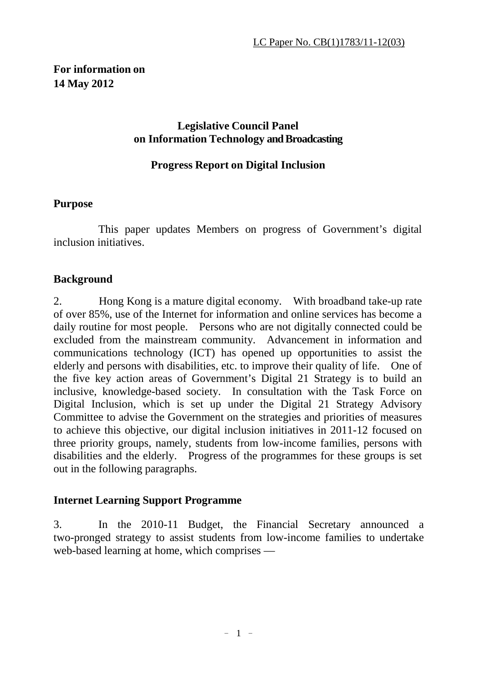## **For information on 14 May 2012**

### **Legislative Council Panel on Information Technology and Broadcasting**

### **Progress Report on Digital Inclusion**

#### **Purpose**

This paper updates Members on progress of Government's digital inclusion initiatives.

#### **Background**

2. Hong Kong is a mature digital economy. With broadband take-up rate of over 85%, use of the Internet for information and online services has become a daily routine for most people. Persons who are not digitally connected could be excluded from the mainstream community. Advancement in information and communications technology (ICT) has opened up opportunities to assist the elderly and persons with disabilities, etc. to improve their quality of life. One of the five key action areas of Government's Digital 21 Strategy is to build an inclusive, knowledge-based society. In consultation with the Task Force on Digital Inclusion, which is set up under the Digital 21 Strategy Advisory Committee to advise the Government on the strategies and priorities of measures to achieve this objective, our digital inclusion initiatives in 2011-12 focused on three priority groups, namely, students from low-income families, persons with disabilities and the elderly. Progress of the programmes for these groups is set out in the following paragraphs.

#### **Internet Learning Support Programme**

3. In the 2010-11 Budget, the Financial Secretary announced a two-pronged strategy to assist students from low-income families to undertake web-based learning at home, which comprises —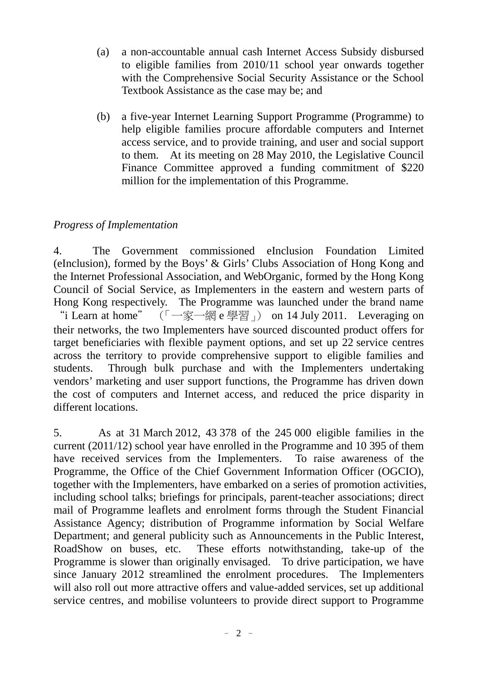- (a) a non-accountable annual cash Internet Access Subsidy disbursed to eligible families from 2010/11 school year onwards together with the Comprehensive Social Security Assistance or the School Textbook Assistance as the case may be; and
- (b) a five-year Internet Learning Support Programme (Programme) to help eligible families procure affordable computers and Internet access service, and to provide training, and user and social support to them. At its meeting on 28 May 2010, the Legislative Council Finance Committee approved a funding commitment of \$220 million for the implementation of this Programme.

### *Progress of Implementation*

4. The Government commissioned eInclusion Foundation Limited (eInclusion), formed by the Boys' & Girls' Clubs Association of Hong Kong and the Internet Professional Association, and WebOrganic, formed by the Hong Kong Council of Social Service, as Implementers in the eastern and western parts of Hong Kong respectively. The Programme was launched under the brand name "i Learn at home" (「一家一網 e 學習」) on 14 July 2011. Leveraging on their networks, the two Implementers have sourced discounted product offers for target beneficiaries with flexible payment options, and set up 22 service centres across the territory to provide comprehensive support to eligible families and students. Through bulk purchase and with the Implementers undertaking vendors' marketing and user support functions, the Programme has driven down the cost of computers and Internet access, and reduced the price disparity in different locations.

5. As at 31 March 2012, 43 378 of the 245 000 eligible families in the current (2011/12) school year have enrolled in the Programme and 10 395 of them have received services from the Implementers. To raise awareness of the Programme, the Office of the Chief Government Information Officer (OGCIO), together with the Implementers, have embarked on a series of promotion activities, including school talks; briefings for principals, parent-teacher associations; direct mail of Programme leaflets and enrolment forms through the Student Financial Assistance Agency; distribution of Programme information by Social Welfare Department; and general publicity such as Announcements in the Public Interest, RoadShow on buses, etc. These efforts notwithstanding, take-up of the Programme is slower than originally envisaged. To drive participation, we have since January 2012 streamlined the enrolment procedures. The Implementers will also roll out more attractive offers and value-added services, set up additional service centres, and mobilise volunteers to provide direct support to Programme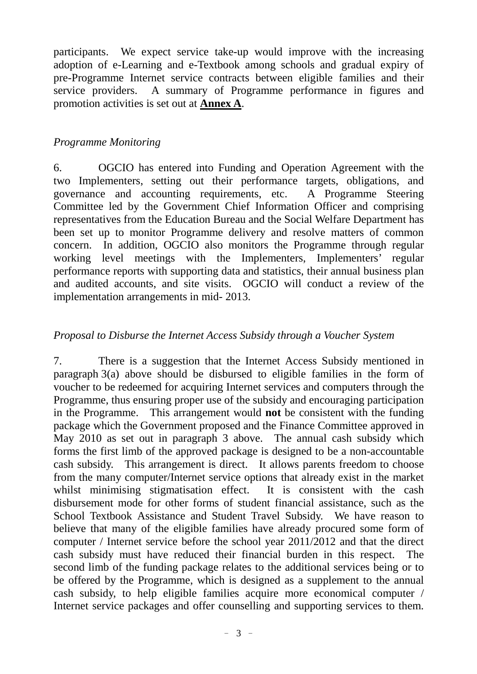participants. We expect service take-up would improve with the increasing adoption of e-Learning and e-Textbook among schools and gradual expiry of pre-Programme Internet service contracts between eligible families and their service providers. A summary of Programme performance in figures and promotion activities is set out at **Annex A**.

### *Programme Monitoring*

6. OGCIO has entered into Funding and Operation Agreement with the two Implementers, setting out their performance targets, obligations, and governance and accounting requirements, etc. A Programme Steering Committee led by the Government Chief Information Officer and comprising representatives from the Education Bureau and the Social Welfare Department has been set up to monitor Programme delivery and resolve matters of common concern. In addition, OGCIO also monitors the Programme through regular working level meetings with the Implementers, Implementers' regular performance reports with supporting data and statistics, their annual business plan and audited accounts, and site visits. OGCIO will conduct a review of the implementation arrangements in mid- 2013.

### *Proposal to Disburse the Internet Access Subsidy through a Voucher System*

7. There is a suggestion that the Internet Access Subsidy mentioned in paragraph  $3(a)$  above should be disbursed to eligible families in the form of voucher to be redeemed for acquiring Internet services and computers through the Programme, thus ensuring proper use of the subsidy and encouraging participation in the Programme. This arrangement would **not** be consistent with the funding package which the Government proposed and the Finance Committee approved in May 2010 as set out in paragraph 3 above. The annual cash subsidy which forms the first limb of the approved package is designed to be a non-accountable cash subsidy. This arrangement is direct. It allows parents freedom to choose from the many computer/Internet service options that already exist in the market whilst minimising stigmatisation effect. It is consistent with the cash disbursement mode for other forms of student financial assistance, such as the School Textbook Assistance and Student Travel Subsidy. We have reason to believe that many of the eligible families have already procured some form of computer / Internet service before the school year 2011/2012 and that the direct cash subsidy must have reduced their financial burden in this respect. The second limb of the funding package relates to the additional services being or to be offered by the Programme, which is designed as a supplement to the annual cash subsidy, to help eligible families acquire more economical computer / Internet service packages and offer counselling and supporting services to them.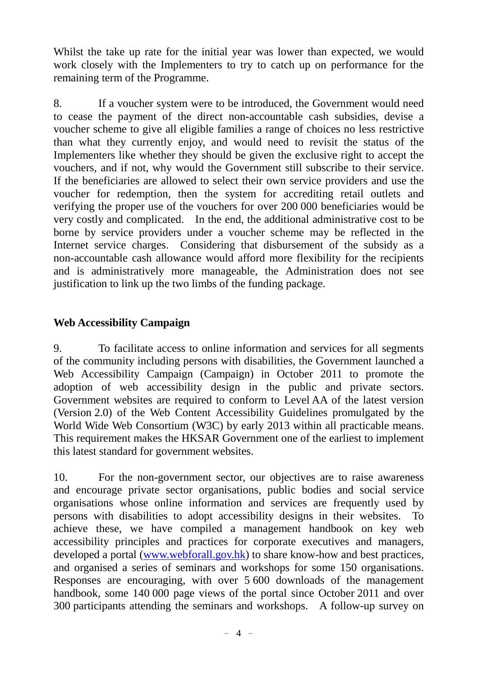Whilst the take up rate for the initial year was lower than expected, we would work closely with the Implementers to try to catch up on performance for the remaining term of the Programme.

8. If a voucher system were to be introduced, the Government would need to cease the payment of the direct non-accountable cash subsidies, devise a voucher scheme to give all eligible families a range of choices no less restrictive than what they currently enjoy, and would need to revisit the status of the Implementers like whether they should be given the exclusive right to accept the vouchers, and if not, why would the Government still subscribe to their service. If the beneficiaries are allowed to select their own service providers and use the voucher for redemption, then the system for accrediting retail outlets and verifying the proper use of the vouchers for over 200 000 beneficiaries would be very costly and complicated. In the end, the additional administrative cost to be borne by service providers under a voucher scheme may be reflected in the Internet service charges. Considering that disbursement of the subsidy as a non-accountable cash allowance would afford more flexibility for the recipients and is administratively more manageable, the Administration does not see justification to link up the two limbs of the funding package.

# **Web Accessibility Campaign**

9. To facilitate access to online information and services for all segments of the community including persons with disabilities, the Government launched a Web Accessibility Campaign (Campaign) in October 2011 to promote the adoption of web accessibility design in the public and private sectors. Government websites are required to conform to Level AA of the latest version (Version 2.0) of the Web Content Accessibility Guidelines promulgated by the World Wide Web Consortium (W3C) by early 2013 within all practicable means. This requirement makes the HKSAR Government one of the earliest to implement this latest standard for government websites.

10. For the non-government sector, our objectives are to raise awareness and encourage private sector organisations, public bodies and social service organisations whose online information and services are frequently used by persons with disabilities to adopt accessibility designs in their websites. To achieve these, we have compiled a management handbook on key web accessibility principles and practices for corporate executives and managers, developed a portal [\(www.webforall.gov.hk\)](http://www.webforall.gov.hk/) to share know-how and best practices, and organised a series of seminars and workshops for some 150 organisations. Responses are encouraging, with over 5 600 downloads of the management handbook, some 140 000 page views of the portal since October 2011 and over 300 participants attending the seminars and workshops. A follow-up survey on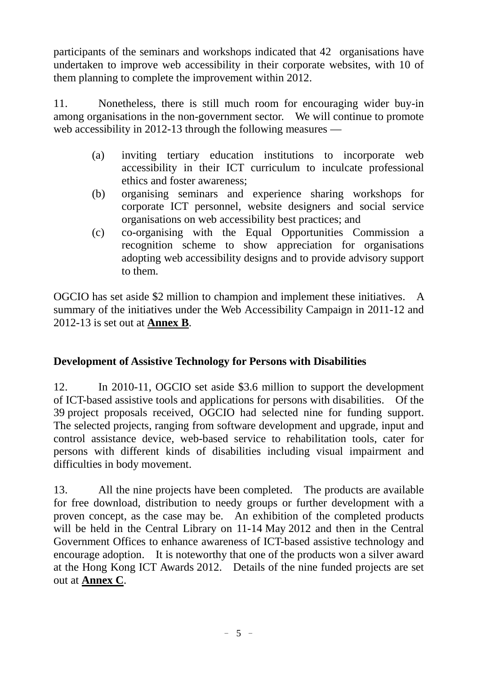participants of the seminars and workshops indicated that 42 organisations have undertaken to improve web accessibility in their corporate websites, with 10 of them planning to complete the improvement within 2012.

11. Nonetheless, there is still much room for encouraging wider buy-in among organisations in the non-government sector. We will continue to promote web accessibility in 2012-13 through the following measures —

- (a) inviting tertiary education institutions to incorporate web accessibility in their ICT curriculum to inculcate professional ethics and foster awareness;
- (b) organising seminars and experience sharing workshops for corporate ICT personnel, website designers and social service organisations on web accessibility best practices; and
- (c) co-organising with the Equal Opportunities Commission a recognition scheme to show appreciation for organisations adopting web accessibility designs and to provide advisory support to them.

OGCIO has set aside \$2 million to champion and implement these initiatives. A summary of the initiatives under the Web Accessibility Campaign in 2011-12 and 2012-13 is set out at **Annex B**.

# **Development of Assistive Technology for Persons with Disabilities**

12. In 2010-11, OGCIO set aside \$3.6 million to support the development of ICT-based assistive tools and applications for persons with disabilities. Of the 39 project proposals received, OGCIO had selected nine for funding support. The selected projects, ranging from software development and upgrade, input and control assistance device, web-based service to rehabilitation tools, cater for persons with different kinds of disabilities including visual impairment and difficulties in body movement.

13. All the nine projects have been completed. The products are available for free download, distribution to needy groups or further development with a proven concept, as the case may be. An exhibition of the completed products will be held in the Central Library on 11-14 May 2012 and then in the Central Government Offices to enhance awareness of ICT-based assistive technology and encourage adoption. It is noteworthy that one of the products won a silver award at the Hong Kong ICT Awards 2012. Details of the nine funded projects are set out at **Annex C**.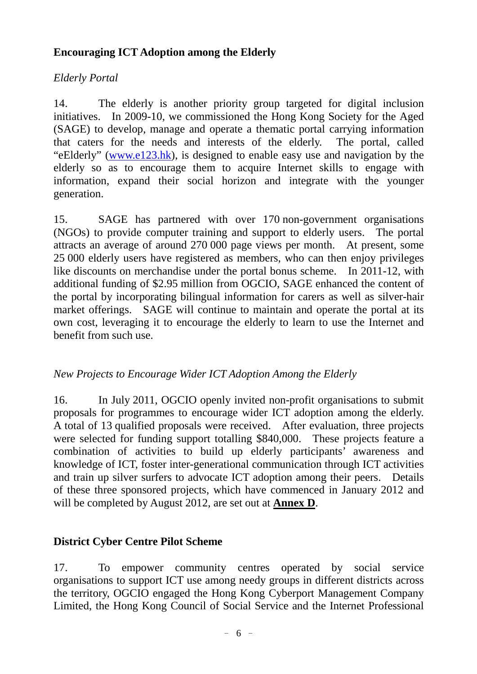## **Encouraging ICT Adoption among the Elderly**

## *Elderly Portal*

14. The elderly is another priority group targeted for digital inclusion initiatives. In 2009-10, we commissioned the Hong Kong Society for the Aged (SAGE) to develop, manage and operate a thematic portal carrying information that caters for the needs and interests of the elderly. The portal, called "eElderly" [\(www.e123.hk\)](http://www.e123.hk/), is designed to enable easy use and navigation by the elderly so as to encourage them to acquire Internet skills to engage with information, expand their social horizon and integrate with the younger generation.

15. SAGE has partnered with over 170 non-government organisations (NGOs) to provide computer training and support to elderly users. The portal attracts an average of around 270 000 page views per month. At present, some 25 000 elderly users have registered as members, who can then enjoy privileges like discounts on merchandise under the portal bonus scheme. In 2011-12, with additional funding of \$2.95 million from OGCIO, SAGE enhanced the content of the portal by incorporating bilingual information for carers as well as silver-hair market offerings. SAGE will continue to maintain and operate the portal at its own cost, leveraging it to encourage the elderly to learn to use the Internet and benefit from such use.

### *New Projects to Encourage Wider ICT Adoption Among the Elderly*

16. In July 2011, OGCIO openly invited non-profit organisations to submit proposals for programmes to encourage wider ICT adoption among the elderly. A total of 13 qualified proposals were received. After evaluation, three projects were selected for funding support totalling \$840,000. These projects feature a combination of activities to build up elderly participants' awareness and knowledge of ICT, foster inter-generational communication through ICT activities and train up silver surfers to advocate ICT adoption among their peers. Details of these three sponsored projects, which have commenced in January 2012 and will be completed by August 2012, are set out at **Annex D**.

# **District Cyber Centre Pilot Scheme**

17. To empower community centres operated by social service organisations to support ICT use among needy groups in different districts across the territory, OGCIO engaged the Hong Kong Cyberport Management Company Limited, the Hong Kong Council of Social Service and the Internet Professional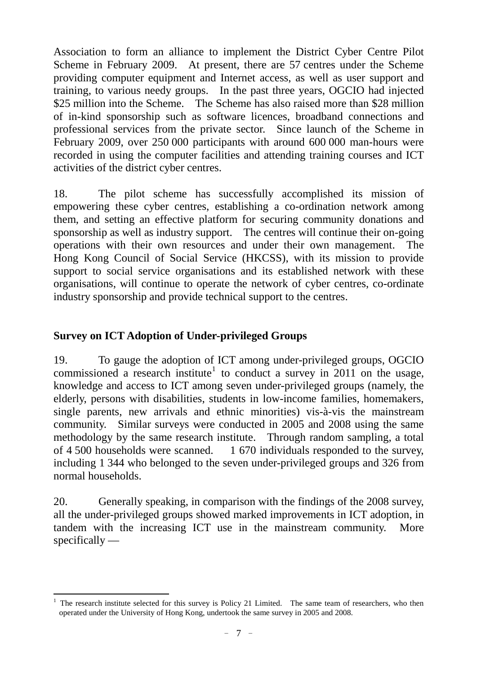Association to form an alliance to implement the District Cyber Centre Pilot Scheme in February 2009. At present, there are 57 centres under the Scheme providing computer equipment and Internet access, as well as user support and training, to various needy groups. In the past three years, OGCIO had injected \$25 million into the Scheme. The Scheme has also raised more than \$28 million of in-kind sponsorship such as software licences, broadband connections and professional services from the private sector. Since launch of the Scheme in February 2009, over 250 000 participants with around 600 000 man-hours were recorded in using the computer facilities and attending training courses and ICT activities of the district cyber centres.

18. The pilot scheme has successfully accomplished its mission of empowering these cyber centres, establishing a co-ordination network among them, and setting an effective platform for securing community donations and sponsorship as well as industry support. The centres will continue their on-going operations with their own resources and under their own management. The Hong Kong Council of Social Service (HKCSS), with its mission to provide support to social service organisations and its established network with these organisations, will continue to operate the network of cyber centres, co-ordinate industry sponsorship and provide technical support to the centres.

### **Survey on ICT Adoption of Under-privileged Groups**

19. To gauge the adoption of ICT among under-privileged groups, OGCIO commissioned a research institute<sup>[1](#page-6-0)</sup> to conduct a survey in 2011 on the usage, knowledge and access to ICT among seven under-privileged groups (namely, the elderly, persons with disabilities, students in low-income families, homemakers, single parents, new arrivals and ethnic minorities) vis-à-vis the mainstream community. Similar surveys were conducted in 2005 and 2008 using the same methodology by the same research institute. Through random sampling, a total of 4 500 households were scanned. 1 670 individuals responded to the survey, including 1 344 who belonged to the seven under-privileged groups and 326 from normal households.

20. Generally speaking, in comparison with the findings of the 2008 survey, all the under-privileged groups showed marked improvements in ICT adoption, in tandem with the increasing ICT use in the mainstream community. More specifically —

<span id="page-6-0"></span><sup>1</sup> The research institute selected for this survey is Policy 21 Limited. The same team of researchers, who then operated under the University of Hong Kong, undertook the same survey in 2005 and 2008.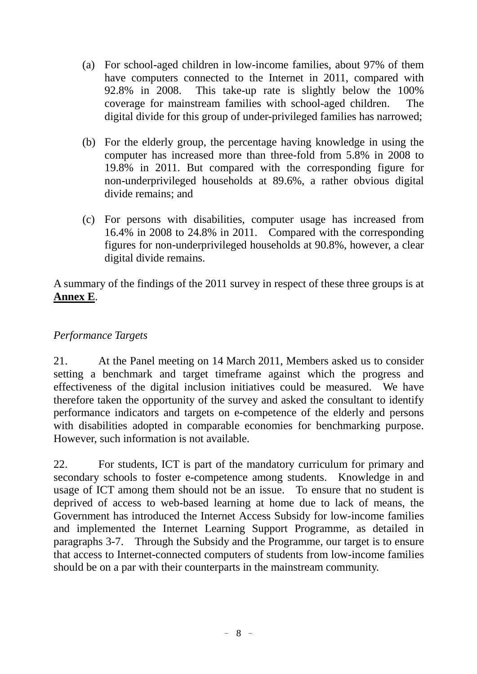- (a) For school-aged children in low-income families, about 97% of them have computers connected to the Internet in 2011, compared with 92.8% in 2008. This take-up rate is slightly below the 100% coverage for mainstream families with school-aged children. The digital divide for this group of under-privileged families has narrowed;
- (b) For the elderly group, the percentage having knowledge in using the computer has increased more than three-fold from 5.8% in 2008 to 19.8% in 2011. But compared with the corresponding figure for non-underprivileged households at 89.6%, a rather obvious digital divide remains; and
- (c) For persons with disabilities, computer usage has increased from 16.4% in 2008 to 24.8% in 2011. Compared with the corresponding figures for non-underprivileged households at 90.8%, however, a clear digital divide remains.

A summary of the findings of the 2011 survey in respect of these three groups is at **Annex E**.

## *Performance Targets*

21. At the Panel meeting on 14 March 2011, Members asked us to consider setting a benchmark and target timeframe against which the progress and effectiveness of the digital inclusion initiatives could be measured. We have therefore taken the opportunity of the survey and asked the consultant to identify performance indicators and targets on e-competence of the elderly and persons with disabilities adopted in comparable economies for benchmarking purpose. However, such information is not available.

22. For students, ICT is part of the mandatory curriculum for primary and secondary schools to foster e-competence among students. Knowledge in and usage of ICT among them should not be an issue. To ensure that no student is deprived of access to web-based learning at home due to lack of means, the Government has introduced the Internet Access Subsidy for low-income families and implemented the Internet Learning Support Programme, as detailed in paragraphs 3-7. Through the Subsidy and the Programme, our target is to ensure that access to Internet-connected computers of students from low-income families should be on a par with their counterparts in the mainstream community.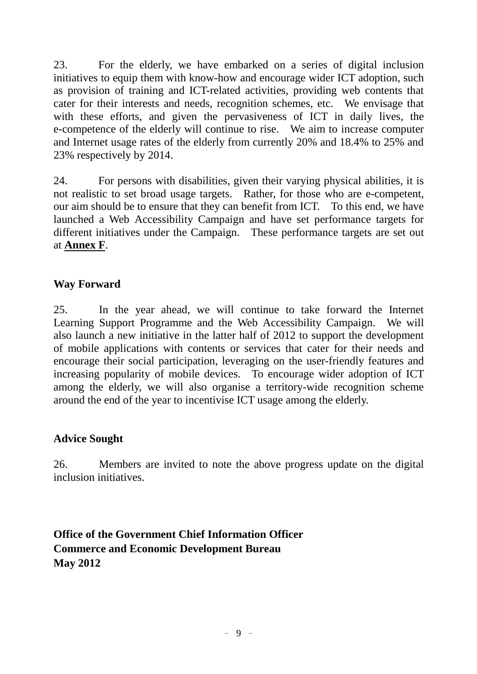23. For the elderly, we have embarked on a series of digital inclusion initiatives to equip them with know-how and encourage wider ICT adoption, such as provision of training and ICT-related activities, providing web contents that cater for their interests and needs, recognition schemes, etc. We envisage that with these efforts, and given the pervasiveness of ICT in daily lives, the e-competence of the elderly will continue to rise. We aim to increase computer and Internet usage rates of the elderly from currently 20% and 18.4% to 25% and 23% respectively by 2014.

24. For persons with disabilities, given their varying physical abilities, it is not realistic to set broad usage targets. Rather, for those who are e-competent, our aim should be to ensure that they can benefit from ICT. To this end, we have launched a Web Accessibility Campaign and have set performance targets for different initiatives under the Campaign. These performance targets are set out at **Annex F**.

### **Way Forward**

25. In the year ahead, we will continue to take forward the Internet Learning Support Programme and the Web Accessibility Campaign. We will also launch a new initiative in the latter half of 2012 to support the development of mobile applications with contents or services that cater for their needs and encourage their social participation, leveraging on the user-friendly features and increasing popularity of mobile devices. To encourage wider adoption of ICT among the elderly, we will also organise a territory-wide recognition scheme around the end of the year to incentivise ICT usage among the elderly.

### **Advice Sought**

26. Members are invited to note the above progress update on the digital inclusion initiatives.

**Office of the Government Chief Information Officer Commerce and Economic Development Bureau May 2012**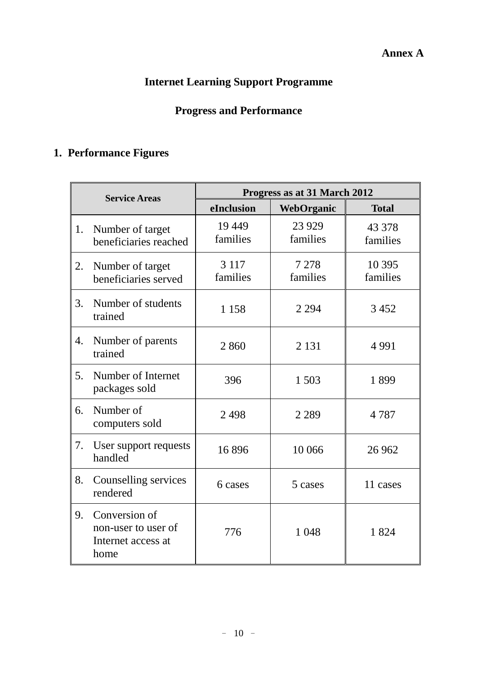# **Internet Learning Support Programme**

# **Progress and Performance**

# **1. Performance Figures**

|    | <b>Service Areas</b>                                               | Progress as at 31 March 2012 |                     |                     |  |  |  |  |
|----|--------------------------------------------------------------------|------------------------------|---------------------|---------------------|--|--|--|--|
|    |                                                                    | eInclusion                   | WebOrganic          | <b>Total</b>        |  |  |  |  |
| 1. | Number of target<br>beneficiaries reached                          | 19 4 49<br>families          | 23 9 29<br>families | 43 378<br>families  |  |  |  |  |
| 2. | Number of target<br>beneficiaries served                           | 3 1 1 7<br>families          | 7 2 7 8<br>families | 10 3 95<br>families |  |  |  |  |
| 3. | Number of students<br>trained                                      | 1 1 5 8                      | 2 2 9 4             | 3 4 5 2             |  |  |  |  |
| 4. | Number of parents<br>trained                                       | 2860                         | 2 1 3 1             | 4 9 9 1             |  |  |  |  |
| 5. | Number of Internet<br>packages sold                                | 396                          | 1 503               | 1899                |  |  |  |  |
| 6. | Number of<br>computers sold                                        | 2498                         | 2 2 8 9             | 4 7 8 7             |  |  |  |  |
| 7. | User support requests<br>handled                                   | 16896                        | 10 066              | 26 9 62             |  |  |  |  |
| 8. | Counselling services<br>rendered                                   | 6 cases                      | 5 cases             | 11 cases            |  |  |  |  |
| 9. | Conversion of<br>non-user to user of<br>Internet access at<br>home | 776                          | 1 0 4 8             | 1824                |  |  |  |  |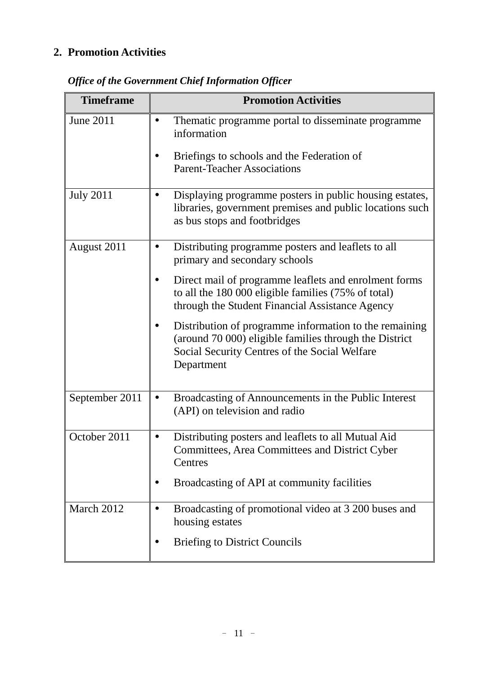# **2. Promotion Activities**

| <b>Timeframe</b> | <b>Promotion Activities</b>                                                                                                                                                     |  |  |  |  |  |
|------------------|---------------------------------------------------------------------------------------------------------------------------------------------------------------------------------|--|--|--|--|--|
| <b>June 2011</b> | Thematic programme portal to disseminate programme<br>information<br>Briefings to schools and the Federation of<br><b>Parent-Teacher Associations</b>                           |  |  |  |  |  |
| <b>July 2011</b> | Displaying programme posters in public housing estates,<br>libraries, government premises and public locations such<br>as bus stops and footbridges                             |  |  |  |  |  |
| August 2011      | Distributing programme posters and leaflets to all<br>primary and secondary schools                                                                                             |  |  |  |  |  |
|                  | Direct mail of programme leaflets and enrolment forms<br>to all the 180 000 eligible families (75% of total)<br>through the Student Financial Assistance Agency                 |  |  |  |  |  |
|                  | Distribution of programme information to the remaining<br>(around 70 000) eligible families through the District<br>Social Security Centres of the Social Welfare<br>Department |  |  |  |  |  |
| September 2011   | Broadcasting of Announcements in the Public Interest<br>(API) on television and radio                                                                                           |  |  |  |  |  |
| October 2011     | Distributing posters and leaflets to all Mutual Aid<br>Committees, Area Committees and District Cyber<br>Centres                                                                |  |  |  |  |  |
|                  | Broadcasting of API at community facilities                                                                                                                                     |  |  |  |  |  |
| March 2012       | Broadcasting of promotional video at 3 200 buses and<br>housing estates                                                                                                         |  |  |  |  |  |
|                  | <b>Briefing to District Councils</b>                                                                                                                                            |  |  |  |  |  |

*Office of the Government Chief Information Officer*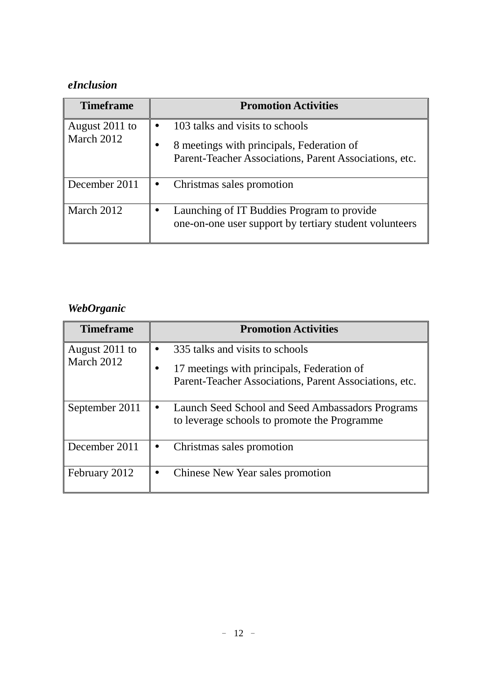# *eInclusion*

| <b>Timeframe</b>             | <b>Promotion Activities</b>                                                                                                            |
|------------------------------|----------------------------------------------------------------------------------------------------------------------------------------|
| August 2011 to<br>March 2012 | 103 talks and visits to schools<br>8 meetings with principals, Federation of<br>Parent-Teacher Associations, Parent Associations, etc. |
| December 2011                | Christmas sales promotion                                                                                                              |
| March 2012                   | Launching of IT Buddies Program to provide<br>one-on-one user support by tertiary student volunteers                                   |

# *WebOrganic*

| <b>Timeframe</b>             | <b>Promotion Activities</b>                                                                                                             |
|------------------------------|-----------------------------------------------------------------------------------------------------------------------------------------|
| August 2011 to<br>March 2012 | 335 talks and visits to schools<br>17 meetings with principals, Federation of<br>Parent-Teacher Associations, Parent Associations, etc. |
| September 2011               | Launch Seed School and Seed Ambassadors Programs<br>to leverage schools to promote the Programme                                        |
| December 2011                | Christmas sales promotion                                                                                                               |
| February 2012                | Chinese New Year sales promotion                                                                                                        |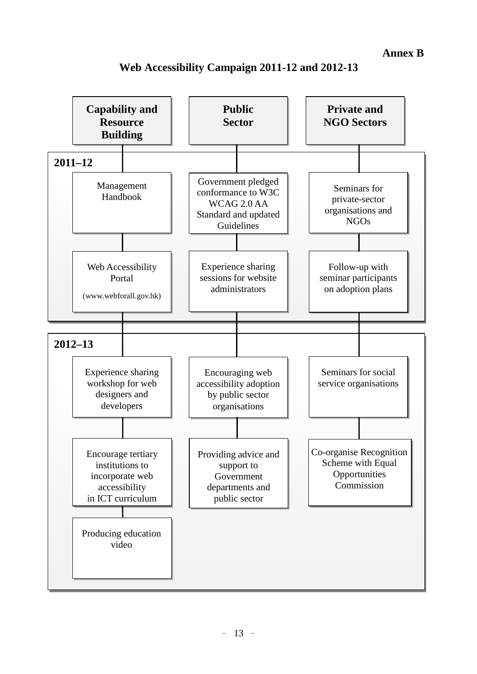**Annex B**



### **Web Accessibility Campaign 2011-12 and 2012-13**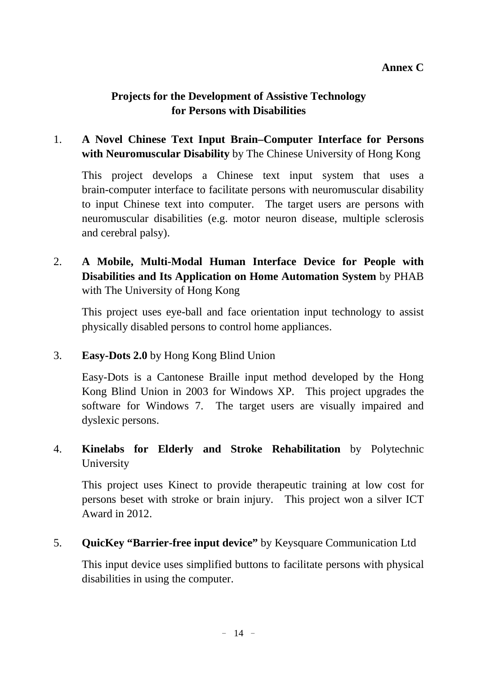### **Projects for the Development of Assistive Technology for Persons with Disabilities**

## 1. **A Novel Chinese Text Input Brain–Computer Interface for Persons with Neuromuscular Disability** by The Chinese University of Hong Kong

This project develops a Chinese text input system that uses a brain-computer interface to facilitate persons with neuromuscular disability to input Chinese text into computer. The target users are persons with neuromuscular disabilities (e.g. motor neuron disease, multiple sclerosis and cerebral palsy).

# 2. **A Mobile, Multi-Modal Human Interface Device for People with Disabilities and Its Application on Home Automation System** by PHAB with The University of Hong Kong

This project uses eye-ball and face orientation input technology to assist physically disabled persons to control home appliances.

### 3. **Easy-Dots 2.0** by Hong Kong Blind Union

Easy-Dots is a Cantonese Braille input method developed by the Hong Kong Blind Union in 2003 for Windows XP. This project upgrades the software for Windows 7. The target users are visually impaired and dyslexic persons.

## 4. **Kinelabs for Elderly and Stroke Rehabilitation** by Polytechnic University

This project uses Kinect to provide therapeutic training at low cost for persons beset with stroke or brain injury. This project won a silver ICT Award in 2012.

### 5. **QuicKey "Barrier-free input device"** by Keysquare Communication Ltd

This input device uses simplified buttons to facilitate persons with physical disabilities in using the computer.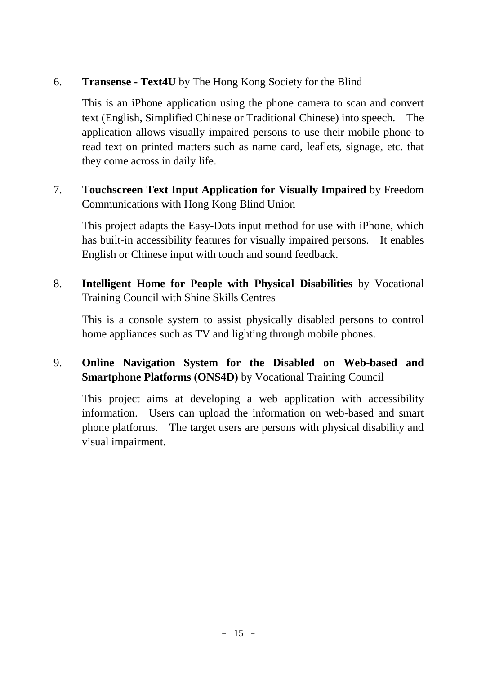## 6. **Transense - Text4U** by The Hong Kong Society for the Blind

This is an iPhone application using the phone camera to scan and convert text (English, Simplified Chinese or Traditional Chinese) into speech. The application allows visually impaired persons to use their mobile phone to read text on printed matters such as name card, leaflets, signage, etc. that they come across in daily life.

7. **Touchscreen Text Input Application for Visually Impaired** by Freedom Communications with Hong Kong Blind Union

This project adapts the Easy-Dots input method for use with iPhone, which has built-in accessibility features for visually impaired persons. It enables English or Chinese input with touch and sound feedback.

8. **Intelligent Home for People with Physical Disabilities** by Vocational Training Council with Shine Skills Centres

This is a console system to assist physically disabled persons to control home appliances such as TV and lighting through mobile phones.

# 9. **Online Navigation System for the Disabled on Web-based and Smartphone Platforms (ONS4D)** by Vocational Training Council

This project aims at developing a web application with accessibility information. Users can upload the information on web-based and smart phone platforms. The target users are persons with physical disability and visual impairment.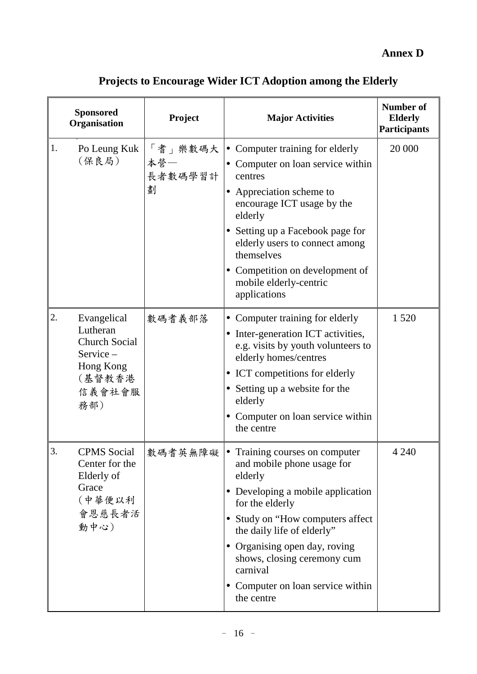**Annex D**

|    | <b>Sponsored</b><br>Organisation                                                                    | Project                        | <b>Major Activities</b>                                                                                                                                                                                                                                                                                                                   | <b>Number of</b><br><b>Elderly</b><br><b>Participants</b> |  |
|----|-----------------------------------------------------------------------------------------------------|--------------------------------|-------------------------------------------------------------------------------------------------------------------------------------------------------------------------------------------------------------------------------------------------------------------------------------------------------------------------------------------|-----------------------------------------------------------|--|
| 1. | Po Leung Kuk<br>(保良局)                                                                               | 「耆」樂數碼大<br>本營一<br>長者數碼學習計<br>劃 | • Computer training for elderly<br>Computer on loan service within<br>centres<br>Appreciation scheme to<br>encourage ICT usage by the<br>elderly<br>Setting up a Facebook page for<br>elderly users to connect among<br>themselves<br>Competition on development of<br>mobile elderly-centric<br>applications                             | 20 000                                                    |  |
| 2. | Evangelical<br>Lutheran<br><b>Church Social</b><br>Service-<br>Hong Kong<br>(基督教香港<br>信義會社會服<br>務部) | 數碼耆義部落                         | • Computer training for elderly<br>Inter-generation ICT activities,<br>e.g. visits by youth volunteers to<br>elderly homes/centres<br>ICT competitions for elderly<br>Setting up a website for the<br>elderly<br>Computer on loan service within<br>the centre                                                                            | 1 5 2 0                                                   |  |
| 3. | <b>CPMS</b> Social<br>Center for the<br>Elderly of<br>Grace<br>(中華便以利<br>會恩慈長者活<br>動中心)             | 數碼耆英無障礙                        | • Training courses on computer<br>and mobile phone usage for<br>elderly<br>Developing a mobile application<br>$\bullet$<br>for the elderly<br>• Study on "How computers affect<br>the daily life of elderly"<br>• Organising open day, roving<br>shows, closing ceremony cum<br>carnival<br>Computer on loan service within<br>the centre | 4 2 4 0                                                   |  |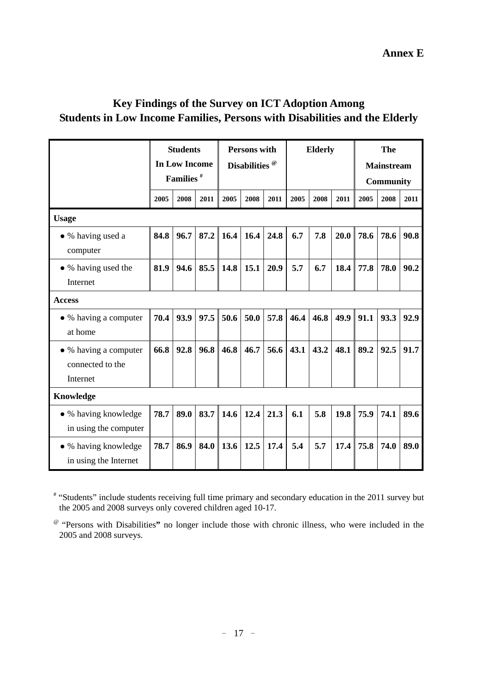## **Key Findings of the Survey on ICT Adoption Among Students in Low Income Families, Persons with Disabilities and the Elderly**

|                                                       | <b>Students</b><br><b>In Low Income</b><br>Families <sup>#</sup> |      | <b>Persons with</b><br>Disabilities <sup>@</sup> |      | <b>Elderly</b> |      | The<br><b>Mainstream</b><br><b>Community</b> |      |      |      |      |      |
|-------------------------------------------------------|------------------------------------------------------------------|------|--------------------------------------------------|------|----------------|------|----------------------------------------------|------|------|------|------|------|
|                                                       | 2005                                                             | 2008 | 2011                                             | 2005 | 2008           | 2011 | 2005                                         | 2008 | 2011 | 2005 | 2008 | 2011 |
| <b>Usage</b>                                          |                                                                  |      |                                                  |      |                |      |                                              |      |      |      |      |      |
| • % having used a<br>computer                         | 84.8                                                             | 96.7 | 87.2                                             | 16.4 | 16.4           | 24.8 | 6.7                                          | 7.8  | 20.0 | 78.6 | 78.6 | 90.8 |
| • % having used the<br>Internet                       | 81.9                                                             | 94.6 | 85.5                                             | 14.8 | 15.1           | 20.9 | 5.7                                          | 6.7  | 18.4 | 77.8 | 78.0 | 90.2 |
| <b>Access</b>                                         |                                                                  |      |                                                  |      |                |      |                                              |      |      |      |      |      |
| • % having a computer<br>at home                      | 70.4                                                             | 93.9 | 97.5                                             | 50.6 | 50.0           | 57.8 | 46.4                                         | 46.8 | 49.9 | 91.1 | 93.3 | 92.9 |
| • % having a computer<br>connected to the<br>Internet | 66.8                                                             | 92.8 | 96.8                                             | 46.8 | 46.7           | 56.6 | 43.1                                         | 43.2 | 48.1 | 89.2 | 92.5 | 91.7 |
| Knowledge                                             |                                                                  |      |                                                  |      |                |      |                                              |      |      |      |      |      |
| • % having knowledge<br>in using the computer         | 78.7                                                             | 89.0 | 83.7                                             | 14.6 | 12.4           | 21.3 | 6.1                                          | 5.8  | 19.8 | 75.9 | 74.1 | 89.6 |
| • % having knowledge<br>in using the Internet         | 78.7                                                             | 86.9 | 84.0                                             | 13.6 | 12.5           | 17.4 | 5.4                                          | 5.7  | 17.4 | 75.8 | 74.0 | 89.0 |

# "Students" include students receiving full time primary and secondary education in the 2011 survey but the 2005 and 2008 surveys only covered children aged 10-17.

@ "Persons with Disabilities**"** no longer include those with chronic illness, who were included in the 2005 and 2008 surveys.